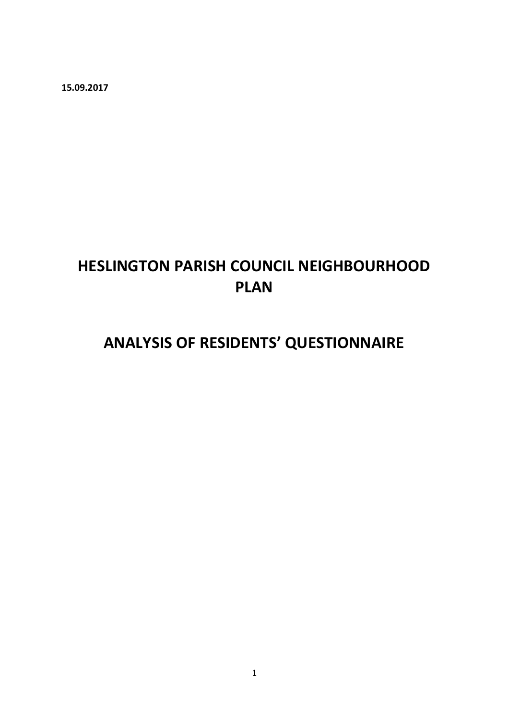**15.09.2017** 

# **HESLINGTON PARISH COUNCIL NEIGHBOURHOOD PLAN**

# **ANALYSIS OF RESIDENTS' QUESTIONNAIRE**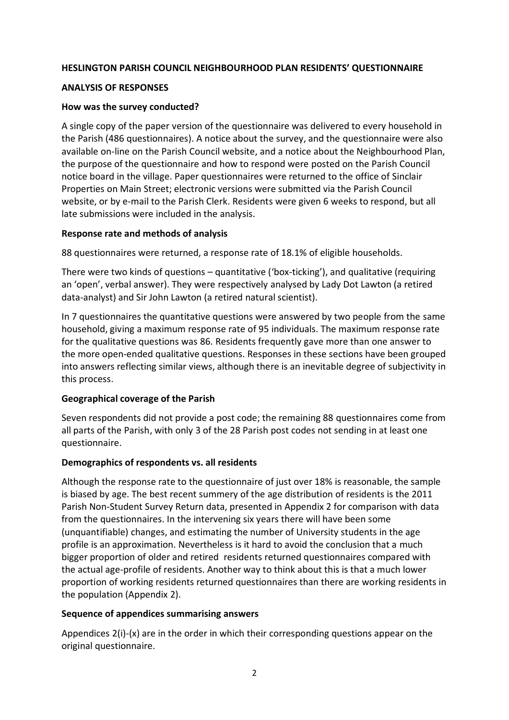#### **HESLINGTON PARISH COUNCIL NEIGHBOURHOOD PLAN RESIDENTS' QUESTIONNAIRE**

#### **ANALYSIS OF RESPONSES**

#### **How was the survey conducted?**

A single copy of the paper version of the questionnaire was delivered to every household in the Parish (486 questionnaires). A notice about the survey, and the questionnaire were also available on-line on the Parish Council website, and a notice about the Neighbourhood Plan, the purpose of the questionnaire and how to respond were posted on the Parish Council notice board in the village. Paper questionnaires were returned to the office of Sinclair Properties on Main Street; electronic versions were submitted via the Parish Council website, or by e-mail to the Parish Clerk. Residents were given 6 weeks to respond, but all late submissions were included in the analysis.

#### **Response rate and methods of analysis**

88 questionnaires were returned, a response rate of 18.1% of eligible households.

There were two kinds of questions – quantitative ('box-ticking'), and qualitative (requiring an 'open', verbal answer). They were respectively analysed by Lady Dot Lawton (a retired data-analyst) and Sir John Lawton (a retired natural scientist).

In 7 questionnaires the quantitative questions were answered by two people from the same household, giving a maximum response rate of 95 individuals. The maximum response rate for the qualitative questions was 86. Residents frequently gave more than one answer to the more open-ended qualitative questions. Responses in these sections have been grouped into answers reflecting similar views, although there is an inevitable degree of subjectivity in this process.

# **Geographical coverage of the Parish**

Seven respondents did not provide a post code; the remaining 88 questionnaires come from all parts of the Parish, with only 3 of the 28 Parish post codes not sending in at least one questionnaire.

# **Demographics of respondents vs. all residents**

Although the response rate to the questionnaire of just over 18% is reasonable, the sample is biased by age. The best recent summery of the age distribution of residents is the 2011 Parish Non-Student Survey Return data, presented in Appendix 2 for comparison with data from the questionnaires. In the intervening six years there will have been some (unquantifiable) changes, and estimating the number of University students in the age profile is an approximation. Nevertheless is it hard to avoid the conclusion that a much bigger proportion of older and retired residents returned questionnaires compared with the actual age-profile of residents. Another way to think about this is that a much lower proportion of working residents returned questionnaires than there are working residents in the population (Appendix 2).

# **Sequence of appendices summarising answers**

Appendices  $2(i)$ - $(x)$  are in the order in which their corresponding questions appear on the original questionnaire.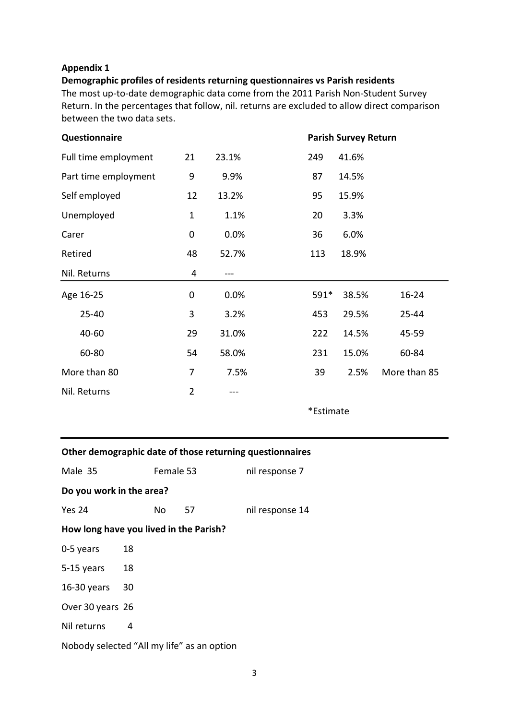#### **Appendix 1**

## **Demographic profiles of residents returning questionnaires vs Parish residents**

The most up-to-date demographic data come from the 2011 Parish Non-Student Survey Return. In the percentages that follow, nil. returns are excluded to allow direct comparison between the two data sets.

| <b>Questionnaire</b>                                     |                  |       | <b>Parish Survey Return</b> |
|----------------------------------------------------------|------------------|-------|-----------------------------|
| Full time employment                                     | 21               | 23.1% | 249<br>41.6%                |
| Part time employment                                     | $\boldsymbol{9}$ | 9.9%  | 87<br>14.5%                 |
| Self employed                                            | 12               | 13.2% | 95<br>15.9%                 |
| Unemployed                                               | $\mathbf{1}$     | 1.1%  | 20<br>3.3%                  |
| Carer                                                    | 0                | 0.0%  | 36<br>6.0%                  |
| Retired                                                  | 48               | 52.7% | 113<br>18.9%                |
| Nil. Returns                                             | 4                |       |                             |
| Age 16-25                                                | $\mathbf 0$      | 0.0%  | 591*<br>38.5%<br>16-24      |
| 25-40                                                    | 3                | 3.2%  | 453<br>29.5%<br>25-44       |
| 40-60                                                    | 29               | 31.0% | 222<br>14.5%<br>45-59       |
| 60-80                                                    | 54               | 58.0% | 231<br>15.0%<br>60-84       |
| More than 80                                             | 7                | 7.5%  | More than 85<br>39<br>2.5%  |
| Nil. Returns                                             | $\overline{2}$   | ---   |                             |
|                                                          |                  |       | *Estimate                   |
|                                                          |                  |       |                             |
| Other demographic date of those returning questionnaires |                  |       |                             |

| Male 35                                    | Female 53 |     | nil response 7 |                 |
|--------------------------------------------|-----------|-----|----------------|-----------------|
| Do you work in the area?                   |           |     |                |                 |
| Yes 24                                     |           | No. | 57             | nil response 14 |
| How long have you lived in the Parish?     |           |     |                |                 |
| 0-5 years                                  | 18        |     |                |                 |
| 5-15 years                                 | 18        |     |                |                 |
| $16-30$ years                              | 30        |     |                |                 |
| Over 30 years 26                           |           |     |                |                 |
| Nil returns                                | 4         |     |                |                 |
| Nobody selected "All my life" as an option |           |     |                |                 |
|                                            |           |     |                |                 |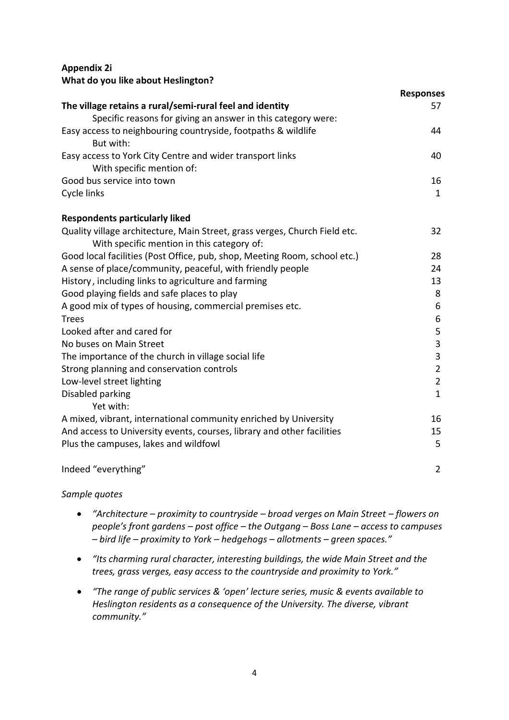# **Appendix 2i What do you like about Heslington?**

|                                                                                                                          | <b>Responses</b> |
|--------------------------------------------------------------------------------------------------------------------------|------------------|
| The village retains a rural/semi-rural feel and identity                                                                 | 57               |
| Specific reasons for giving an answer in this category were:                                                             |                  |
| Easy access to neighbouring countryside, footpaths & wildlife<br>But with:                                               | 44               |
| Easy access to York City Centre and wider transport links<br>With specific mention of:                                   | 40               |
| Good bus service into town                                                                                               | 16               |
| Cycle links                                                                                                              | $\mathbf 1$      |
| <b>Respondents particularly liked</b>                                                                                    |                  |
| Quality village architecture, Main Street, grass verges, Church Field etc.<br>With specific mention in this category of: | 32               |
| Good local facilities (Post Office, pub, shop, Meeting Room, school etc.)                                                | 28               |
| A sense of place/community, peaceful, with friendly people                                                               | 24               |
| History, including links to agriculture and farming                                                                      | 13               |
| Good playing fields and safe places to play                                                                              | 8                |
| A good mix of types of housing, commercial premises etc.                                                                 | 6                |
| <b>Trees</b>                                                                                                             | 6                |
| Looked after and cared for                                                                                               | 5                |
| No buses on Main Street                                                                                                  | 3                |
| The importance of the church in village social life                                                                      | 3                |
| Strong planning and conservation controls                                                                                | $\overline{2}$   |
| Low-level street lighting                                                                                                | $\overline{2}$   |
| Disabled parking                                                                                                         | $\mathbf{1}$     |
| Yet with:                                                                                                                |                  |
| A mixed, vibrant, international community enriched by University                                                         | 16               |
| And access to University events, courses, library and other facilities                                                   | 15               |
| Plus the campuses, lakes and wildfowl                                                                                    | 5                |
| Indeed "everything"                                                                                                      | $\overline{2}$   |

- *"Architecture – proximity to countryside – broad verges on Main Street – flowers on people's front gardens – post office – the Outgang – Boss Lane – access to campuses – bird life – proximity to York – hedgehogs – allotments – green spaces."*
- *"Its charming rural character, interesting buildings, the wide Main Street and the trees, grass verges, easy access to the countryside and proximity to York."*
- *"The range of public services & 'open' lecture series, music & events available to Heslington residents as a consequence of the University. The diverse, vibrant community."*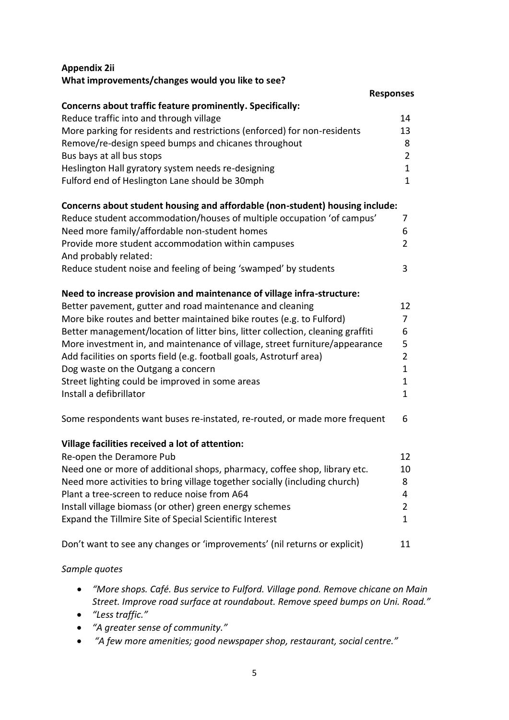# **Appendix 2ii What improvements/changes would you like to see?**

|                                                                                 | <b>Responses</b> |
|---------------------------------------------------------------------------------|------------------|
| <b>Concerns about traffic feature prominently. Specifically:</b>                |                  |
| Reduce traffic into and through village                                         | 14               |
| More parking for residents and restrictions (enforced) for non-residents        | 13               |
| Remove/re-design speed bumps and chicanes throughout                            | 8                |
| Bus bays at all bus stops                                                       | $\overline{2}$   |
| Heslington Hall gyratory system needs re-designing                              | $\mathbf 1$      |
| Fulford end of Heslington Lane should be 30mph                                  | $\mathbf{1}$     |
|                                                                                 |                  |
| Concerns about student housing and affordable (non-student) housing include:    |                  |
| Reduce student accommodation/houses of multiple occupation 'of campus'          | 7                |
| Need more family/affordable non-student homes                                   | 6                |
| Provide more student accommodation within campuses                              | $\overline{2}$   |
| And probably related:                                                           |                  |
| Reduce student noise and feeling of being 'swamped' by students                 | 3                |
|                                                                                 |                  |
| Need to increase provision and maintenance of village infra-structure:          |                  |
| Better pavement, gutter and road maintenance and cleaning                       | 12               |
| More bike routes and better maintained bike routes (e.g. to Fulford)            | $\overline{7}$   |
| Better management/location of litter bins, litter collection, cleaning graffiti | 6                |
| More investment in, and maintenance of village, street furniture/appearance     | 5                |
| Add facilities on sports field (e.g. football goals, Astroturf area)            | $\overline{2}$   |
| Dog waste on the Outgang a concern                                              | $\mathbf{1}$     |
| Street lighting could be improved in some areas                                 | $\mathbf{1}$     |
| Install a defibrillator                                                         | $\mathbf{1}$     |
|                                                                                 |                  |
| Some respondents want buses re-instated, re-routed, or made more frequent       | 6                |
|                                                                                 |                  |
| Village facilities received a lot of attention:                                 |                  |
| Re-open the Deramore Pub                                                        | 12               |
| Need one or more of additional shops, pharmacy, coffee shop, library etc.       | 10               |
| Need more activities to bring village together socially (including church)      | 8                |
| Plant a tree-screen to reduce noise from A64                                    | 4                |
| Install village biomass (or other) green energy schemes                         | $\overline{2}$   |
| Expand the Tillmire Site of Special Scientific Interest                         | $\mathbf{1}$     |
|                                                                                 |                  |
| Don't want to see any changes or 'improvements' (nil returns or explicit)       | 11               |
|                                                                                 |                  |

- *"More shops. Café. Bus service to Fulford. Village pond. Remove chicane on Main Street. Improve road surface at roundabout. Remove speed bumps on Uni. Road."*
- *"Less traffic."*
- *"A greater sense of community."*
- *"A few more amenities; good newspaper shop, restaurant, social centre."*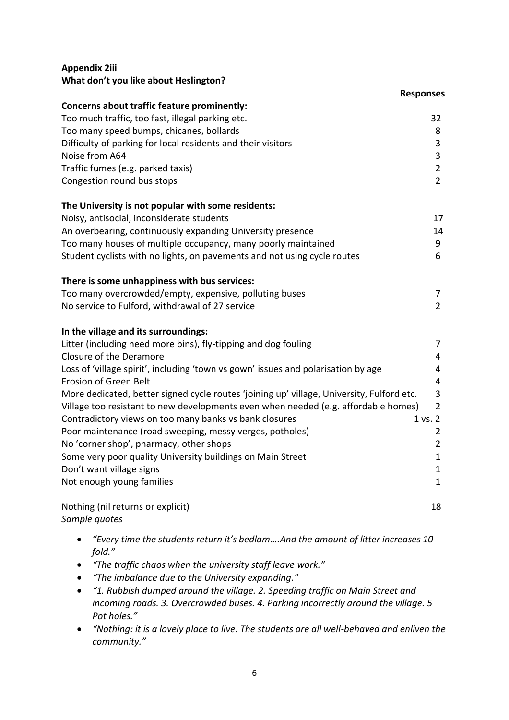# **Appendix 2iii**

|                                                                                           | <b>Responses</b> |
|-------------------------------------------------------------------------------------------|------------------|
| Concerns about traffic feature prominently:                                               |                  |
| Too much traffic, too fast, illegal parking etc.                                          | 32               |
| Too many speed bumps, chicanes, bollards                                                  | 8                |
| Difficulty of parking for local residents and their visitors                              | $\mathbf{3}$     |
| Noise from A64                                                                            | 3                |
| Traffic fumes (e.g. parked taxis)                                                         | $\overline{2}$   |
| Congestion round bus stops                                                                | $\overline{2}$   |
| The University is not popular with some residents:                                        |                  |
| Noisy, antisocial, inconsiderate students                                                 | 17               |
| An overbearing, continuously expanding University presence                                | 14               |
| Too many houses of multiple occupancy, many poorly maintained                             | 9                |
| Student cyclists with no lights, on pavements and not using cycle routes                  | 6                |
| There is some unhappiness with bus services:                                              |                  |
| Too many overcrowded/empty, expensive, polluting buses                                    | 7                |
| No service to Fulford, withdrawal of 27 service                                           | $\overline{2}$   |
| In the village and its surroundings:                                                      |                  |
| Litter (including need more bins), fly-tipping and dog fouling                            | $\overline{7}$   |
| Closure of the Deramore                                                                   | 4                |
| Loss of 'village spirit', including 'town vs gown' issues and polarisation by age         | $\overline{4}$   |
| Erosion of Green Belt                                                                     | $\overline{4}$   |
| More dedicated, better signed cycle routes 'joining up' village, University, Fulford etc. | 3                |
| Village too resistant to new developments even when needed (e.g. affordable homes)        | $\overline{2}$   |
| Contradictory views on too many banks vs bank closures                                    | 1 vs. 2          |
| Poor maintenance (road sweeping, messy verges, potholes)                                  | $\overline{2}$   |
| No 'corner shop', pharmacy, other shops                                                   | $\overline{2}$   |
| Some very poor quality University buildings on Main Street                                | $\mathbf{1}$     |
| Don't want village signs                                                                  | $\mathbf{1}$     |
| Not enough young families                                                                 | $\mathbf{1}$     |
| Nothing (nil returns or explicit)                                                         | 18               |
| Sample quotes                                                                             |                  |

- *"Every time the students return it's bedlam….And the amount of litter increases 10 fold."*
- *"The traffic chaos when the university staff leave work."*
- *"The imbalance due to the University expanding."*
- *"1. Rubbish dumped around the village. 2. Speeding traffic on Main Street and incoming roads. 3. Overcrowded buses. 4. Parking incorrectly around the village. 5 Pot holes."*
- *"Nothing: it is a lovely place to live. The students are all well-behaved and enliven the community."*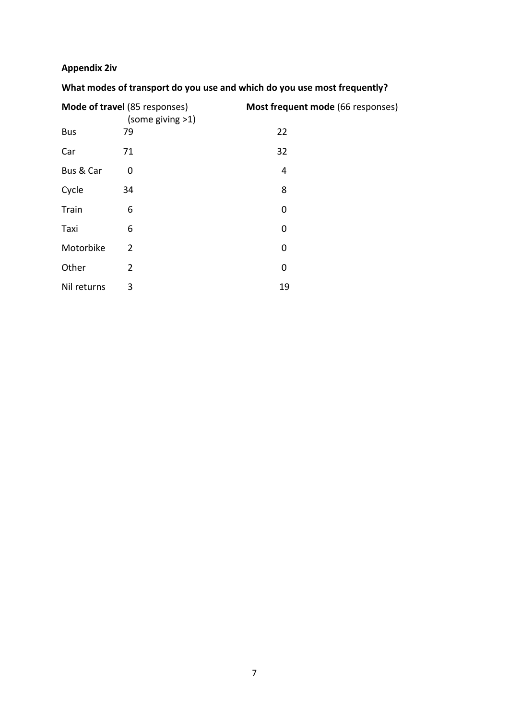# **Appendix 2iv**

# **What modes of transport do you use and which do you use most frequently?**

|             | Mode of travel (85 responses)<br>(some giving >1) | Most frequent mode (66 responses) |
|-------------|---------------------------------------------------|-----------------------------------|
| <b>Bus</b>  | 79                                                | 22                                |
| Car         | 71                                                | 32                                |
| Bus & Car   | 0                                                 | 4                                 |
| Cycle       | 34                                                | 8                                 |
| Train       | 6                                                 | 0                                 |
| Taxi        | 6                                                 | 0                                 |
| Motorbike   | $\overline{2}$                                    | 0                                 |
| Other       | $\overline{2}$                                    | 0                                 |
| Nil returns | 3                                                 | 19                                |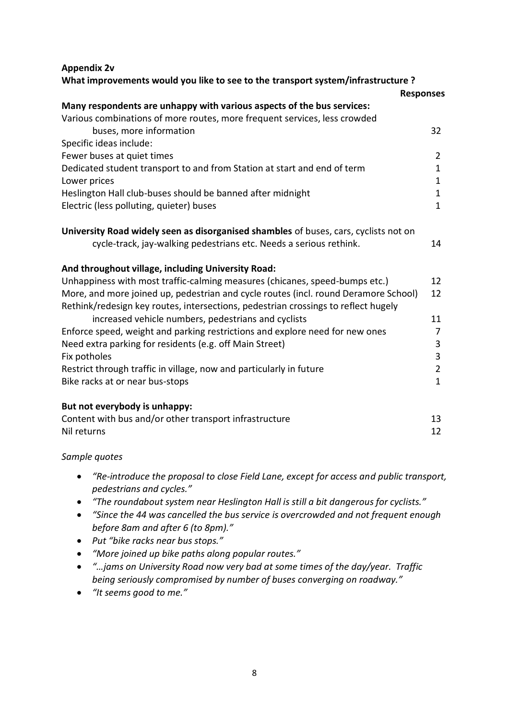#### **Appendix 2v**

| What improvements would you like to see to the transport system/infrastructure ?         |                              |
|------------------------------------------------------------------------------------------|------------------------------|
|                                                                                          | <b>Responses</b>             |
| Many respondents are unhappy with various aspects of the bus services:                   |                              |
| Various combinations of more routes, more frequent services, less crowded                |                              |
| buses, more information                                                                  | 32                           |
| Specific ideas include:                                                                  |                              |
| Fewer buses at quiet times                                                               | 2                            |
| Dedicated student transport to and from Station at start and end of term<br>Lower prices | $\mathbf{1}$<br>$\mathbf{1}$ |
| Heslington Hall club-buses should be banned after midnight                               | $\mathbf{1}$                 |
| Electric (less polluting, quieter) buses                                                 | $\mathbf{1}$                 |
|                                                                                          |                              |
| University Road widely seen as disorganised shambles of buses, cars, cyclists not on     |                              |
| cycle-track, jay-walking pedestrians etc. Needs a serious rethink.                       | 14                           |
| And throughout village, including University Road:                                       |                              |
| Unhappiness with most traffic-calming measures (chicanes, speed-bumps etc.)              | 12                           |
| More, and more joined up, pedestrian and cycle routes (incl. round Deramore School)      | 12                           |
| Rethink/redesign key routes, intersections, pedestrian crossings to reflect hugely       |                              |
| increased vehicle numbers, pedestrians and cyclists                                      | 11                           |
| Enforce speed, weight and parking restrictions and explore need for new ones             | 7                            |
| Need extra parking for residents (e.g. off Main Street)                                  | 3                            |
| Fix potholes                                                                             | 3                            |
| Restrict through traffic in village, now and particularly in future                      | $\overline{2}$               |
| Bike racks at or near bus-stops                                                          | $\mathbf{1}$                 |
| But not everybody is unhappy:                                                            |                              |
| Content with bus and/or other transport infrastructure                                   | 13                           |
| Nil returns                                                                              | 12                           |
|                                                                                          |                              |

- *"Re-introduce the proposal to close Field Lane, except for access and public transport, pedestrians and cycles."*
- *"The roundabout system near Heslington Hall is still a bit dangerous for cyclists."*
- *"Since the 44 was cancelled the bus service is overcrowded and not frequent enough before 8am and after 6 (to 8pm)."*
- *Put "bike racks near bus stops."*
- *"More joined up bike paths along popular routes."*
- *"…jams on University Road now very bad at some times of the day/year. Traffic being seriously compromised by number of buses converging on roadway."*
- *"It seems good to me."*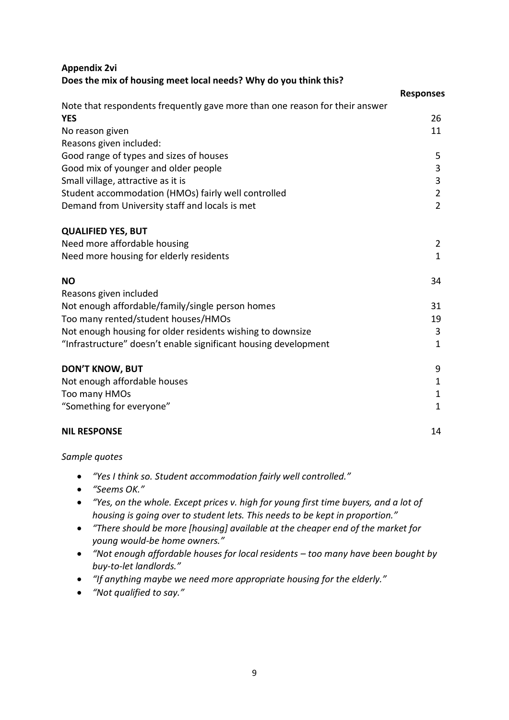| Appendix 2vi                                                                |                  |
|-----------------------------------------------------------------------------|------------------|
| Does the mix of housing meet local needs? Why do you think this?            |                  |
|                                                                             | <b>Responses</b> |
| Note that respondents frequently gave more than one reason for their answer |                  |
| YES                                                                         | 26               |
| No reason given                                                             | 11               |
| Reasons given included:                                                     |                  |
| Good range of types and sizes of houses                                     | 5                |
| Good mix of younger and older people                                        | 3                |
| Small village, attractive as it is                                          | 3                |
| Student accommodation (HMOs) fairly well controlled                         | $\overline{2}$   |
| Demand from University staff and locals is met                              | $\overline{2}$   |
| <b>QUALIFIED YES, BUT</b>                                                   |                  |
| Need more affordable housing                                                | $\overline{2}$   |
| Need more housing for elderly residents                                     | $\mathbf{1}$     |
| <b>NO</b>                                                                   | 34               |
| Reasons given included                                                      |                  |
| Not enough affordable/family/single person homes                            | 31               |
| Too many rented/student houses/HMOs                                         | 19               |
| Not enough housing for older residents wishing to downsize                  | 3                |
| "Infrastructure" doesn't enable significant housing development             | $\mathbf 1$      |

#### **DON'T KNOW, BUT**

Not enough affordable houses and the set of the set of the set of the set of the set of the set of the set of the set of the set of the set of the set of the set of the set of the set of the set of the set of the set of th Too many HMOs and the state of the state of the state of the state of the state of the state of the state of the state of the state of the state of the state of the state of the state of the state of the state of the state "Something for everyone" 1

#### **NIL RESPONSE** 14

- *"Yes I think so. Student accommodation fairly well controlled."*
- *"Seems OK."*
- *"Yes, on the whole. Except prices v. high for young first time buyers, and a lot of housing is going over to student lets. This needs to be kept in proportion."*
- *"There should be more [housing] available at the cheaper end of the market for young would-be home owners."*
- *"Not enough affordable houses for local residents – too many have been bought by buy-to-let landlords."*
- *"If anything maybe we need more appropriate housing for the elderly."*
- *"Not qualified to say."*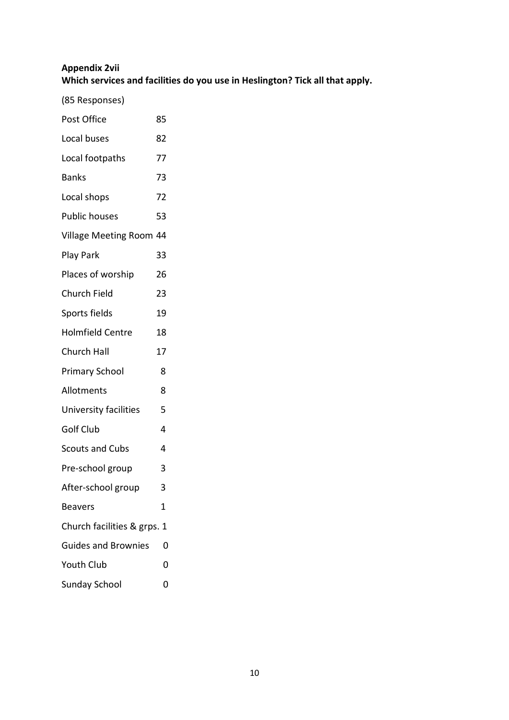# **Appendix 2vii Which services and facilities do you use in Heslington? Tick all that apply.**

(85 Responses)

| Post Office                 | 85 |
|-----------------------------|----|
| Local buses                 | 82 |
| Local footpaths             | 77 |
| <b>Banks</b>                | 73 |
| Local shops                 | 72 |
| <b>Public houses</b>        | 53 |
| Village Meeting Room 44     |    |
| Play Park                   | 33 |
| Places of worship           | 26 |
| <b>Church Field</b>         | 23 |
| Sports fields               | 19 |
| <b>Holmfield Centre</b>     | 18 |
| Church Hall                 | 17 |
| <b>Primary School</b>       | 8  |
| Allotments                  | 8  |
| University facilities       | 5  |
| <b>Golf Club</b>            | 4  |
| <b>Scouts and Cubs</b>      | 4  |
| Pre-school group            | 3  |
| After-school group          | 3  |
| Beavers                     | 1  |
| Church facilities & grps. 1 |    |
| <b>Guides and Brownies</b>  | 0  |
| Youth Club                  | 0  |
| <b>Sunday School</b>        | 0  |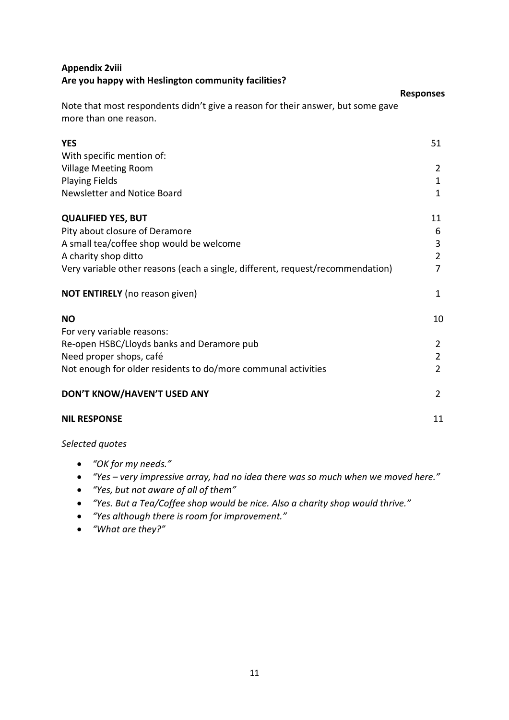# **Appendix 2viii Are you happy with Heslington community facilities?**

|                                                                                                          | <b>Responses</b> |
|----------------------------------------------------------------------------------------------------------|------------------|
| Note that most respondents didn't give a reason for their answer, but some gave<br>more than one reason. |                  |
| <b>YES</b>                                                                                               | 51               |
| With specific mention of:                                                                                |                  |
| <b>Village Meeting Room</b>                                                                              | 2                |
| <b>Playing Fields</b>                                                                                    | $\mathbf{1}$     |
| Newsletter and Notice Board                                                                              | $\mathbf{1}$     |
| <b>QUALIFIED YES, BUT</b>                                                                                | 11               |
| Pity about closure of Deramore                                                                           | 6                |
| A small tea/coffee shop would be welcome                                                                 | 3                |
| A charity shop ditto                                                                                     | $\overline{2}$   |
| Very variable other reasons (each a single, different, request/recommendation)                           | $\overline{7}$   |
| <b>NOT ENTIRELY</b> (no reason given)                                                                    | $\mathbf{1}$     |
| <b>NO</b>                                                                                                | 10               |
| For very variable reasons:                                                                               |                  |
| Re-open HSBC/Lloyds banks and Deramore pub                                                               | 2                |
| Need proper shops, café                                                                                  | $\overline{2}$   |
| Not enough for older residents to do/more communal activities                                            | $\overline{2}$   |
| DON'T KNOW/HAVEN'T USED ANY                                                                              | $\overline{2}$   |
| <b>NIL RESPONSE</b>                                                                                      | 11               |
|                                                                                                          |                  |

*Selected quotes*

- *"OK for my needs."*
- *"Yes – very impressive array, had no idea there was so much when we moved here."*
- *"Yes, but not aware of all of them"*
- *"Yes. But a Tea/Coffee shop would be nice. Also a charity shop would thrive."*
- *"Yes although there is room for improvement."*
- *"What are they?"*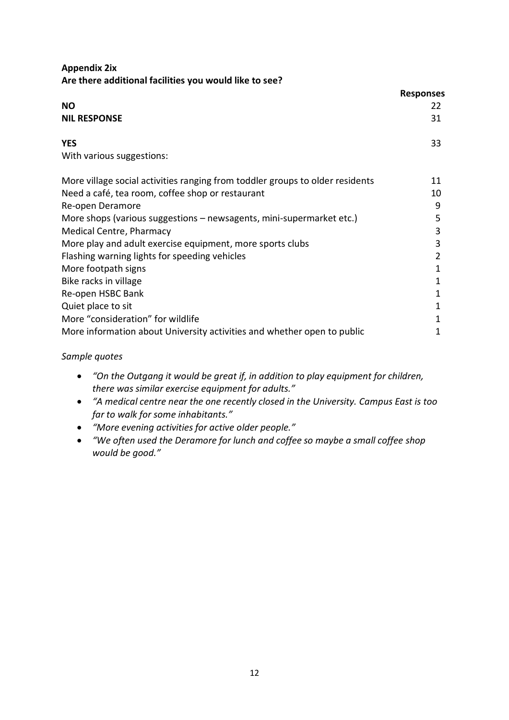# **Appendix 2ix Are there additional facilities you would like to see?**

|                                                                               | <b>Responses</b> |
|-------------------------------------------------------------------------------|------------------|
| <b>NO</b>                                                                     | 22               |
| <b>NIL RESPONSE</b>                                                           | 31               |
| <b>YES</b>                                                                    | 33               |
| With various suggestions:                                                     |                  |
| More village social activities ranging from toddler groups to older residents | 11               |
| Need a café, tea room, coffee shop or restaurant                              | 10               |
| Re-open Deramore                                                              | 9                |
| More shops (various suggestions - newsagents, mini-supermarket etc.)          | 5                |
| Medical Centre, Pharmacy                                                      | 3                |
| More play and adult exercise equipment, more sports clubs                     | 3                |
| Flashing warning lights for speeding vehicles                                 | 2                |
| More footpath signs                                                           | 1                |
| Bike racks in village                                                         | 1                |
| Re-open HSBC Bank                                                             | 1                |
| Quiet place to sit                                                            | 1                |
| More "consideration" for wildlife                                             | 1                |
| More information about University activities and whether open to public       | 1                |

- *"On the Outgang it would be great if, in addition to play equipment for children, there was similar exercise equipment for adults."*
- *"A medical centre near the one recently closed in the University. Campus East is too far to walk for some inhabitants."*
- *"More evening activities for active older people."*
- *"We often used the Deramore for lunch and coffee so maybe a small coffee shop would be good."*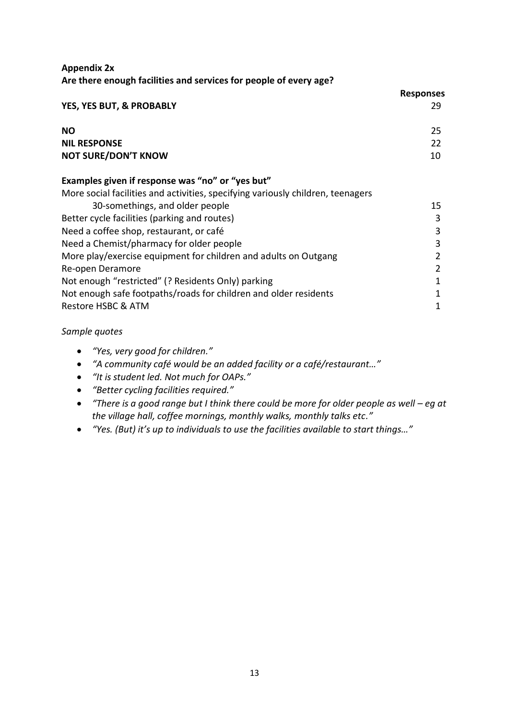# **Appendix 2x Are there enough facilities and services for people of every age?**

|                                                                                 | <b>Responses</b> |
|---------------------------------------------------------------------------------|------------------|
| YES, YES BUT, & PROBABLY                                                        | 29               |
| <b>NO</b>                                                                       | 25               |
| <b>NIL RESPONSE</b>                                                             | 22               |
| <b>NOT SURE/DON'T KNOW</b>                                                      | 10               |
| Examples given if response was "no" or "yes but"                                |                  |
| More social facilities and activities, specifying variously children, teenagers |                  |
| 30-somethings, and older people                                                 | 15               |
| Better cycle facilities (parking and routes)                                    | 3                |
| Need a coffee shop, restaurant, or café                                         | 3                |
| Need a Chemist/pharmacy for older people                                        | 3                |
| More play/exercise equipment for children and adults on Outgang                 | 2                |
| Re-open Deramore                                                                | 2                |
| Not enough "restricted" (? Residents Only) parking                              | 1                |
| Not enough safe footpaths/roads for children and older residents                | 1                |
| Restore HSBC & ATM                                                              | 1                |
|                                                                                 |                  |

- *"Yes, very good for children."*
- *"A community café would be an added facility or a café/restaurant…"*
- *"It is student led. Not much for OAPs."*
- *"Better cycling facilities required."*
- *"There is a good range but I think there could be more for older people as well – eg at the village hall, coffee mornings, monthly walks, monthly talks etc."*
- *"Yes. (But) it's up to individuals to use the facilities available to start things…"*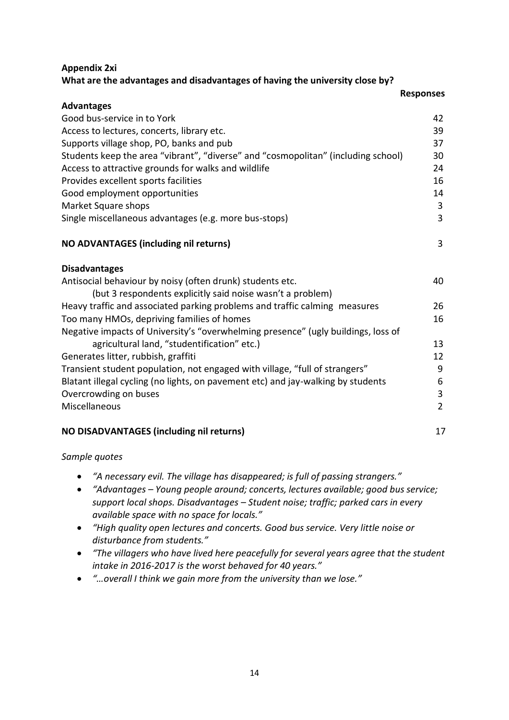# **Appendix 2xi What are the advantages and disadvantages of having the university close by?**

|                                                                                   | <b>Responses</b> |  |
|-----------------------------------------------------------------------------------|------------------|--|
| <b>Advantages</b>                                                                 |                  |  |
| Good bus-service in to York                                                       | 42               |  |
| Access to lectures, concerts, library etc.                                        | 39               |  |
| Supports village shop, PO, banks and pub                                          | 37               |  |
| Students keep the area "vibrant", "diverse" and "cosmopolitan" (including school) | 30               |  |
| Access to attractive grounds for walks and wildlife                               | 24               |  |
| Provides excellent sports facilities                                              | 16               |  |
| Good employment opportunities                                                     | 14               |  |
| Market Square shops                                                               | 3                |  |
| Single miscellaneous advantages (e.g. more bus-stops)                             | 3                |  |
| NO ADVANTAGES (including nil returns)                                             | 3                |  |
| <b>Disadvantages</b>                                                              |                  |  |
| Antisocial behaviour by noisy (often drunk) students etc.                         | 40               |  |
| (but 3 respondents explicitly said noise wasn't a problem)                        |                  |  |
| Heavy traffic and associated parking problems and traffic calming measures        | 26               |  |
| Too many HMOs, depriving families of homes                                        | 16               |  |
| Negative impacts of University's "overwhelming presence" (ugly buildings, loss of |                  |  |
| agricultural land, "studentification" etc.)                                       | 13               |  |
| Generates litter, rubbish, graffiti                                               | 12               |  |
| Transient student population, not engaged with village, "full of strangers"       | 9                |  |
| Blatant illegal cycling (no lights, on pavement etc) and jay-walking by students  | 6                |  |
| Overcrowding on buses                                                             | 3                |  |
| Miscellaneous                                                                     | $\overline{2}$   |  |
| NO DISADVANTAGES (including nil returns)                                          | 17               |  |

- *"A necessary evil. The village has disappeared; is full of passing strangers."*
- *"Advantages – Young people around; concerts, lectures available; good bus service; support local shops. Disadvantages – Student noise; traffic; parked cars in every available space with no space for locals."*
- *"High quality open lectures and concerts. Good bus service. Very little noise or disturbance from students."*
- *"The villagers who have lived here peacefully for several years agree that the student intake in 2016-2017 is the worst behaved for 40 years."*
- *"…overall I think we gain more from the university than we lose."*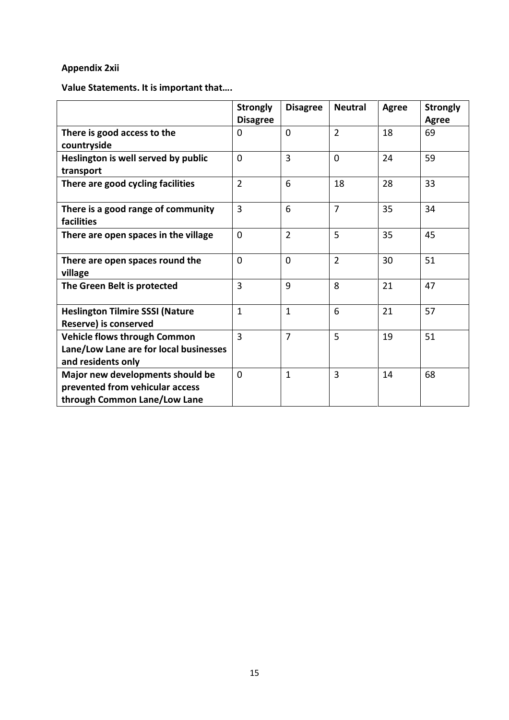# **Appendix 2xii**

**Value Statements. It is important that….**

|                                                                                                     | <b>Strongly</b> | <b>Disagree</b> | <b>Neutral</b> | <b>Agree</b> | <b>Strongly</b> |
|-----------------------------------------------------------------------------------------------------|-----------------|-----------------|----------------|--------------|-----------------|
|                                                                                                     | <b>Disagree</b> |                 |                |              | <b>Agree</b>    |
| There is good access to the                                                                         | 0               | $\Omega$        | $\overline{2}$ | 18           | 69              |
| countryside                                                                                         |                 |                 |                |              |                 |
| Heslington is well served by public                                                                 | $\overline{0}$  | $\overline{3}$  | $\overline{0}$ | 24           | 59              |
| transport                                                                                           |                 |                 |                |              |                 |
| There are good cycling facilities                                                                   | $\overline{2}$  | 6               | 18             | 28           | 33              |
| There is a good range of community<br>facilities                                                    | 3               | 6               | $\overline{7}$ | 35           | 34              |
| There are open spaces in the village                                                                | 0               | $\overline{2}$  | 5              | 35           | 45              |
| There are open spaces round the<br>village                                                          | 0               | $\Omega$        | $\overline{2}$ | 30           | 51              |
| The Green Belt is protected                                                                         | 3               | 9               | 8              | 21           | 47              |
| <b>Heslington Tilmire SSSI (Nature</b><br>Reserve) is conserved                                     | $\mathbf{1}$    | $\mathbf{1}$    | 6              | 21           | 57              |
| <b>Vehicle flows through Common</b><br>Lane/Low Lane are for local businesses<br>and residents only | $\overline{3}$  | $\overline{7}$  | 5              | 19           | 51              |
| Major new developments should be<br>prevented from vehicular access<br>through Common Lane/Low Lane | $\overline{0}$  | $\mathbf{1}$    | 3              | 14           | 68              |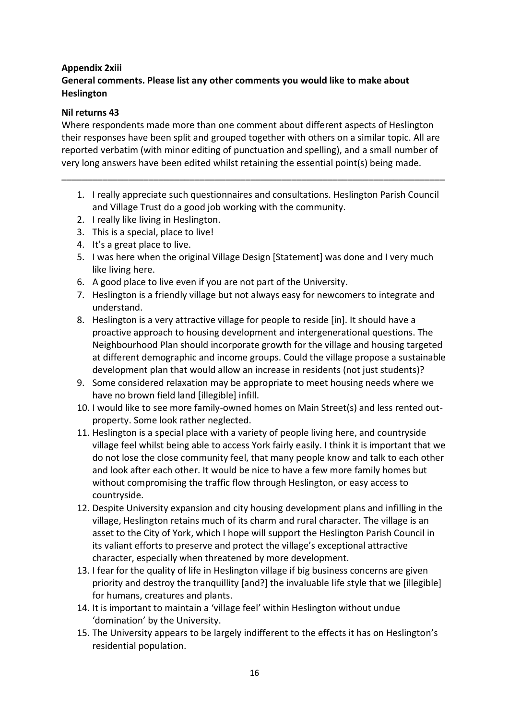# **Appendix 2xiii General comments. Please list any other comments you would like to make about Heslington**

# **Nil returns 43**

Where respondents made more than one comment about different aspects of Heslington their responses have been split and grouped together with others on a similar topic. All are reported verbatim (with minor editing of punctuation and spelling), and a small number of very long answers have been edited whilst retaining the essential point(s) being made.

\_\_\_\_\_\_\_\_\_\_\_\_\_\_\_\_\_\_\_\_\_\_\_\_\_\_\_\_\_\_\_\_\_\_\_\_\_\_\_\_\_\_\_\_\_\_\_\_\_\_\_\_\_\_\_\_\_\_\_\_\_\_\_\_\_\_\_\_\_\_\_\_\_\_\_

- 1. I really appreciate such questionnaires and consultations. Heslington Parish Council and Village Trust do a good job working with the community.
- 2. I really like living in Heslington.
- 3. This is a special, place to live!
- 4. It's a great place to live.
- 5. I was here when the original Village Design [Statement] was done and I very much like living here.
- 6. A good place to live even if you are not part of the University.
- 7. Heslington is a friendly village but not always easy for newcomers to integrate and understand.
- 8. Heslington is a very attractive village for people to reside [in]. It should have a proactive approach to housing development and intergenerational questions. The Neighbourhood Plan should incorporate growth for the village and housing targeted at different demographic and income groups. Could the village propose a sustainable development plan that would allow an increase in residents (not just students)?
- 9. Some considered relaxation may be appropriate to meet housing needs where we have no brown field land [illegible] infill.
- 10. I would like to see more family-owned homes on Main Street(s) and less rented outproperty. Some look rather neglected.
- 11. Heslington is a special place with a variety of people living here, and countryside village feel whilst being able to access York fairly easily. I think it is important that we do not lose the close community feel, that many people know and talk to each other and look after each other. It would be nice to have a few more family homes but without compromising the traffic flow through Heslington, or easy access to countryside.
- 12. Despite University expansion and city housing development plans and infilling in the village, Heslington retains much of its charm and rural character. The village is an asset to the City of York, which I hope will support the Heslington Parish Council in its valiant efforts to preserve and protect the village's exceptional attractive character, especially when threatened by more development.
- 13. I fear for the quality of life in Heslington village if big business concerns are given priority and destroy the tranquillity [and?] the invaluable life style that we [illegible] for humans, creatures and plants.
- 14. It is important to maintain a 'village feel' within Heslington without undue 'domination' by the University.
- 15. The University appears to be largely indifferent to the effects it has on Heslington's residential population.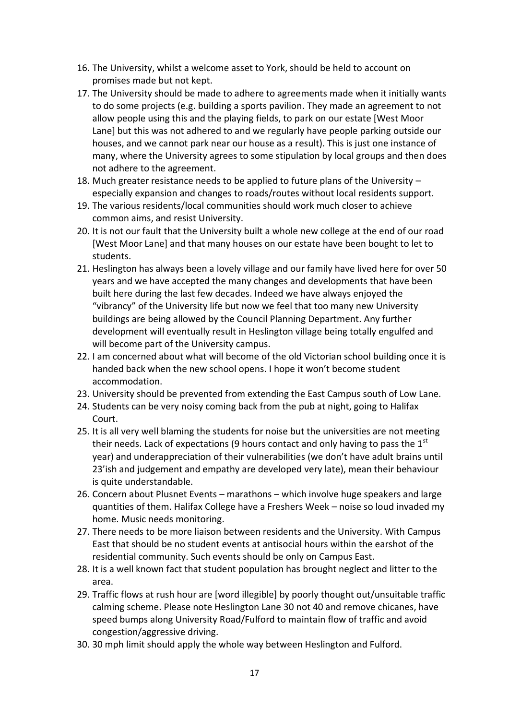- 16. The University, whilst a welcome asset to York, should be held to account on promises made but not kept.
- 17. The University should be made to adhere to agreements made when it initially wants to do some projects (e.g. building a sports pavilion. They made an agreement to not allow people using this and the playing fields, to park on our estate [West Moor Lane] but this was not adhered to and we regularly have people parking outside our houses, and we cannot park near our house as a result). This is just one instance of many, where the University agrees to some stipulation by local groups and then does not adhere to the agreement.
- 18. Much greater resistance needs to be applied to future plans of the University especially expansion and changes to roads/routes without local residents support.
- 19. The various residents/local communities should work much closer to achieve common aims, and resist University.
- 20. It is not our fault that the University built a whole new college at the end of our road [West Moor Lane] and that many houses on our estate have been bought to let to students.
- 21. Heslington has always been a lovely village and our family have lived here for over 50 years and we have accepted the many changes and developments that have been built here during the last few decades. Indeed we have always enjoyed the "vibrancy" of the University life but now we feel that too many new University buildings are being allowed by the Council Planning Department. Any further development will eventually result in Heslington village being totally engulfed and will become part of the University campus.
- 22. I am concerned about what will become of the old Victorian school building once it is handed back when the new school opens. I hope it won't become student accommodation.
- 23. University should be prevented from extending the East Campus south of Low Lane.
- 24. Students can be very noisy coming back from the pub at night, going to Halifax Court.
- 25. It is all very well blaming the students for noise but the universities are not meeting their needs. Lack of expectations (9 hours contact and only having to pass the  $1<sup>st</sup>$ year) and underappreciation of their vulnerabilities (we don't have adult brains until 23'ish and judgement and empathy are developed very late), mean their behaviour is quite understandable.
- 26. Concern about Plusnet Events marathons which involve huge speakers and large quantities of them. Halifax College have a Freshers Week – noise so loud invaded my home. Music needs monitoring.
- 27. There needs to be more liaison between residents and the University. With Campus East that should be no student events at antisocial hours within the earshot of the residential community. Such events should be only on Campus East.
- 28. It is a well known fact that student population has brought neglect and litter to the area.
- 29. Traffic flows at rush hour are [word illegible] by poorly thought out/unsuitable traffic calming scheme. Please note Heslington Lane 30 not 40 and remove chicanes, have speed bumps along University Road/Fulford to maintain flow of traffic and avoid congestion/aggressive driving.
- 30. 30 mph limit should apply the whole way between Heslington and Fulford.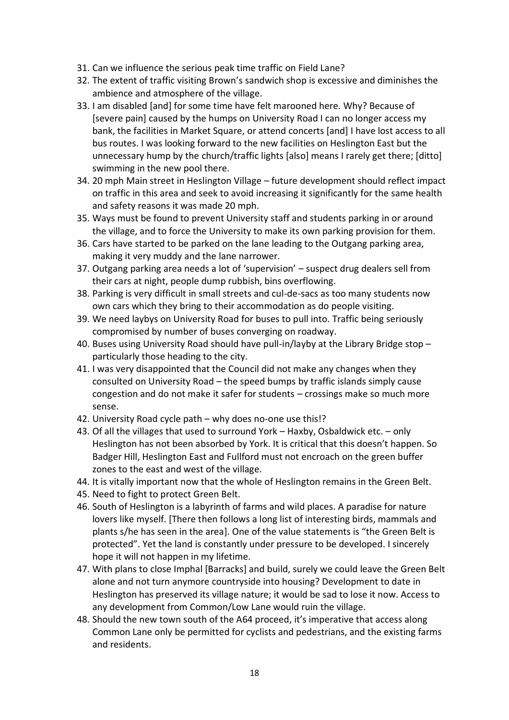- 31. Can we influence the serious peak time traffic on Field Lane?
- 32. The extent of traffic visiting Brown's sandwich shop is excessive and diminishes the ambience and atmosphere of the village.
- 33. I am disabled [and] for some time have felt marooned here. Why? Because of [severe pain] caused by the humps on University Road I can no longer access my bank, the facilities in Market Square, or attend concerts [and] I have lost access to all bus routes. I was looking forward to the new facilities on Heslington East but the unnecessary hump by the church/traffic lights [also] means I rarely get there; [ditto] swimming in the new pool there.
- 34. 20 mph Main street in Heslington Village future development should reflect impact on traffic in this area and seek to avoid increasing it significantly for the same health and safety reasons it was made 20 mph.
- 35. Ways must be found to prevent University staff and students parking in or around the village, and to force the University to make its own parking provision for them.
- 36. Cars have started to be parked on the lane leading to the Outgang parking area, making it very muddy and the lane narrower.
- 37. Outgang parking area needs a lot of 'supervision' suspect drug dealers sell from their cars at night, people dump rubbish, bins overflowing.
- 38. Parking is very difficult in small streets and cul-de-sacs as too many students now own cars which they bring to their accommodation as do people visiting.
- 39. We need laybys on University Road for buses to pull into. Traffic being seriously compromised by number of buses converging on roadway.
- 40. Buses using University Road should have pull-in/layby at the Library Bridge stop particularly those heading to the city.
- 41. I was very disappointed that the Council did not make any changes when they consulted on University Road – the speed bumps by traffic islands simply cause congestion and do not make it safer for students – crossings make so much more sense.
- 42. University Road cycle path why does no-one use this!?
- 43. Of all the villages that used to surround York Haxby, Osbaldwick etc. only Heslington has not been absorbed by York. It is critical that this doesn't happen. So Badger Hill, Heslington East and Fullford must not encroach on the green buffer zones to the east and west of the village.
- 44. It is vitally important now that the whole of Heslington remains in the Green Belt.
- 45. Need to fight to protect Green Belt.
- 46. South of Heslington is a labyrinth of farms and wild places. A paradise for nature lovers like myself. [There then follows a long list of interesting birds, mammals and plants s/he has seen in the area]. One of the value statements is "the Green Belt is protected". Yet the land is constantly under pressure to be developed. I sincerely hope it will not happen in my lifetime.
- 47. With plans to close Imphal [Barracks] and build, surely we could leave the Green Belt alone and not turn anymore countryside into housing? Development to date in Heslington has preserved its village nature; it would be sad to lose it now. Access to any development from Common/Low Lane would ruin the village.
- 48. Should the new town south of the A64 proceed, it's imperative that access along Common Lane only be permitted for cyclists and pedestrians, and the existing farms and residents.